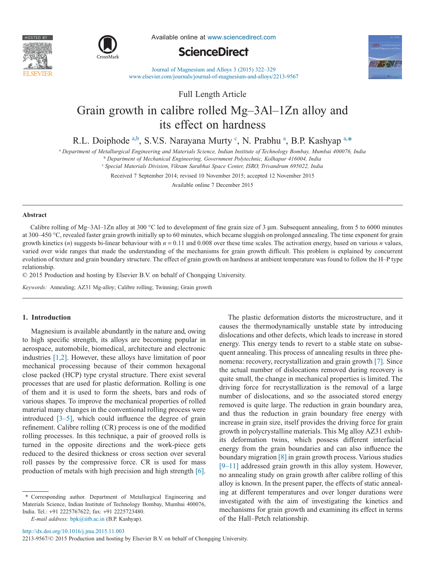



Available online at www.sciencedirect.com

## **ScienceDirect**



Journal of Magnesium and Alloys 3 (2015) 322–329 www.elsevier.com/journals/journal-of-magnesium-and-alloys/2213-9567

Full Length Article

# Grain growth in calibre rolled Mg–3Al–1Zn alloy and its effect on hardness

R.L. Doiphode a,b, S.V.S. Narayana Murty <sup>c</sup>, N. Prabhu <sup>a</sup>, B.P. Kashyap a,\*

<sup>a</sup> *Department of Metallurgical Engineering and Materials Science, Indian Institute of Technology Bombay, Mumbai 400076, India*

<sup>b</sup> *Department of Mechanical Engineering, Government Polytechnic, Kolhapur 416004, India*

<sup>c</sup> *Special Materials Division, Vikram Sarabhai Space Center, ISRO, Trivandrum 695022, India*

Received 7 September 2014; revised 10 November 2015; accepted 12 November 2015

Available online 7 December 2015

## **Abstract**

Calibre rolling of Mg–3Al–1Zn alloy at 300 °C led to development of fine grain size of 3  $\mu$ m. Subsequent annealing, from 5 to 6000 minutes at 300–450 °C, revealed faster grain growth initially up to 60 minutes, which became sluggish on prolonged annealing. The time exponent for grain growth kinetics (*n*) suggests bi-linear behaviour with  $n = 0.11$  and 0.008 over these time scales. The activation energy, based on various *n* values, varied over wide ranges that made the understanding of the mechanisms for grain growth difficult. This problem is explained by concurrent evolution of texture and grain boundary structure. The effect of grain growth on hardness at ambient temperature was found to follow the H–P type relationship.

© 2015 Production and hosting by Elsevier B.V. on behalf of Chongqing University.

*Keywords:* Annealing; AZ31 Mg-alloy; Calibre rolling; Twinning; Grain growth

## **1. Introduction**

Magnesium is available abundantly in the nature and, owing to high specific strength, its alloys are becoming popular in aerospace, automobile, biomedical, architecture and electronic industries [1,2]. However, these alloys have limitation of poor mechanical processing because of their common hexagonal close packed (HCP) type crystal structure. There exist several processes that are used for plastic deformation. Rolling is one of them and it is used to form the sheets, bars and rods of various shapes. To improve the mechanical properties of rolled material many changes in the conventional rolling process were introduced [3–5], which could influence the degree of grain refinement. Calibre rolling (CR) process is one of the modified rolling processes. In this technique, a pair of grooved rolls is turned in the opposite directions and the work-piece gets reduced to the desired thickness or cross section over several roll passes by the compressive force. CR is used for mass production of metals with high precision and high strength [6].

\* Corresponding author. Department of Metallurgical Engineering and Materials Science, Indian Institute of Technology Bombay, Mumbai 400076, India. Tel.: +91 2225767622; fax: +91 2225723480.

*E-mail address:* bpk@iitb.ac.in (B.P. Kashyap).

The plastic deformation distorts the microstructure, and it causes the thermodynamically unstable state by introducing dislocations and other defects, which leads to increase in stored energy. This energy tends to revert to a stable state on subsequent annealing. This process of annealing results in three phenomena: recovery, recrystallization and grain growth [7]. Since the actual number of dislocations removed during recovery is quite small, the change in mechanical properties is limited. The driving force for recrystallization is the removal of a large number of dislocations, and so the associated stored energy removed is quite large. The reduction in grain boundary area, and thus the reduction in grain boundary free energy with increase in grain size, itself provides the driving force for grain growth in polycrystalline materials. This Mg alloy AZ31 exhibits deformation twins, which possess different interfacial energy from the grain boundaries and can also influence the boundary migration [8] in grain growth process. Various studies [9–11] addressed grain growth in this alloy system. However, no annealing study on grain growth after calibre rolling of this alloy is known. In the present paper, the effects of static annealing at different temperatures and over longer durations were investigated with the aim of investigating the kinetics and mechanisms for grain growth and examining its effect in terms of the Hall–Petch relationship.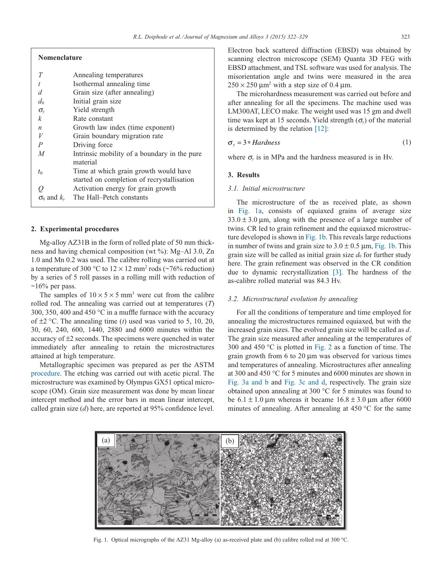| I<br>$\sim$ | ٠<br>۰, | I<br>$\sim$ |
|-------------|---------|-------------|

| <b>Nomenclature</b>                          |
|----------------------------------------------|
| Annealing temperatures                       |
| Isothermal annealing time                    |
| Grain size (after annealing)                 |
| Initial grain size                           |
| Yield strength                               |
| Rate constant                                |
| Growth law index (time exponent)             |
| Grain boundary migration rate                |
| Driving force                                |
| Intrinsic mobility of a boundary in the pure |
| material                                     |
| Time at which grain growth would have        |
| started on completion of recrystallisation   |
| Activation energy for grain growth           |
| The Hall–Petch constants                     |
|                                              |

## **2. Experimental procedures**

Mg-alloy AZ31B in the form of rolled plate of 50 mm thickness and having chemical composition (wt %): Mg–Al 3.0, Zn 1.0 and Mn 0.2 was used. The calibre rolling was carried out at a temperature of 300 °C to  $12 \times 12$  mm<sup>2</sup> rods (~76% reduction) by a series of 5 roll passes in a rolling mill with reduction of  $~16\%$  per pass.

The samples of  $10 \times 5 \times 5$  mm<sup>3</sup> were cut from the calibre rolled rod. The annealing was carried out at temperatures (*T*) 300, 350, 400 and 450 °C in a muffle furnace with the accuracy of ±2 °C. The annealing time (*t*) used was varied to 5, 10, 20, 30, 60, 240, 600, 1440, 2880 and 6000 minutes within the accuracy of ±2 seconds. The specimens were quenched in water immediately after annealing to retain the microstructures attained at high temperature.

Metallographic specimen was prepared as per the ASTM procedure. The etching was carried out with acetic picral. The microstructure was examined by Olympus GX51 optical microscope (OM). Grain size measurement was done by mean linear intercept method and the error bars in mean linear intercept, called grain size (*d*) here, are reported at 95% confidence level.

Electron back scattered diffraction (EBSD) was obtained by scanning electron microscope (SEM) Quanta 3D FEG with EBSD attachment, and TSL software was used for analysis. The misorientation angle and twins were measured in the area  $250 \times 250$  μm<sup>2</sup> with a step size of 0.4 μm.

The microhardness measurement was carried out before and after annealing for all the specimens. The machine used was LM300AT, LECO make. The weight used was 15 gm and dwell time was kept at 15 seconds. Yield strength  $(\sigma_{\nu})$  of the material is determined by the relation [12]:

$$
\sigma_y = 3 * Hardness \tag{1}
$$

where  $\sigma$ <sup>*y*</sup> is in MPa and the hardness measured is in Hv.

#### **3. Results**

## *3.1. Initial microstructure*

The microstructure of the as received plate, as shown in Fig. 1a, consists of equiaxed grains of average size  $33.0 \pm 3.0$  μm, along with the presence of a large number of twins. CR led to grain refinement and the equiaxed microstructure developed is shown in Fig. 1b. This reveals large reductions in number of twins and grain size to  $3.0 \pm 0.5$  µm, Fig. 1b. This grain size will be called as initial grain size  $d_0$  for further study here. The grain refinement was observed in the CR condition due to dynamic recrystallization [3]. The hardness of the as-calibre rolled material was 84.3 Hv.

## *3.2. Microstructural evolution by annealing*

For all the conditions of temperature and time employed for annealing the microstructures remained equiaxed, but with the increased grain sizes. The evolved grain size will be called as *d*. The grain size measured after annealing at the temperatures of 300 and 450 °C is plotted in Fig. 2 as a function of time. The grain growth from 6 to 20 μm was observed for various times and temperatures of annealing. Microstructures after annealing at 300 and 450 °C for 5 minutes and 6000 minutes are shown in Fig. 3a and b and Fig. 3c and d, respectively. The grain size obtained upon annealing at 300 °C for 5 minutes was found to be  $6.1 \pm 1.0$  μm whereas it became  $16.8 \pm 3.0$  μm after 6000 minutes of annealing. After annealing at 450 °C for the same



Fig. 1. Optical micrographs of the AZ31 Mg-alloy (a) as-received plate and (b) calibre rolled rod at 300 °C.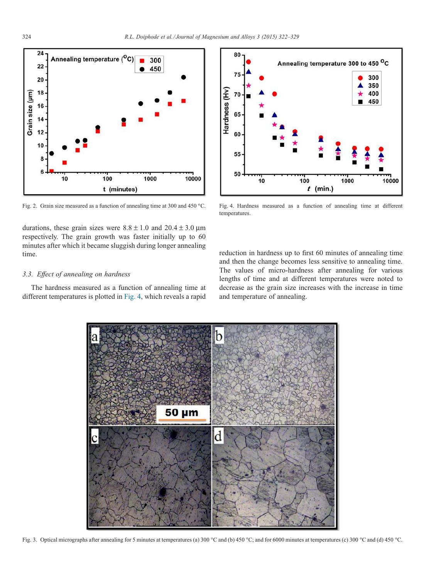

Fig. 2. Grain size measured as a function of annealing time at 300 and 450 °C.

durations, these grain sizes were  $8.8 \pm 1.0$  and  $20.4 \pm 3.0$  µm respectively. The grain growth was faster initially up to 60 minutes after which it became sluggish during longer annealing time.

## *3.3. Effect of annealing on hardness*

The hardness measured as a function of annealing time at different temperatures is plotted in Fig. 4, which reveals a rapid



Fig. 4. Hardness measured as a function of annealing time at different temperatures.

reduction in hardness up to first 60 minutes of annealing time and then the change becomes less sensitive to annealing time. The values of micro-hardness after annealing for various lengths of time and at different temperatures were noted to decrease as the grain size increases with the increase in time and temperature of annealing.



Fig. 3. Optical micrographs after annealing for 5 minutes at temperatures (a) 300 °C and (b) 450 °C; and for 6000 minutes at temperatures (c) 300 °C and (d) 450 °C.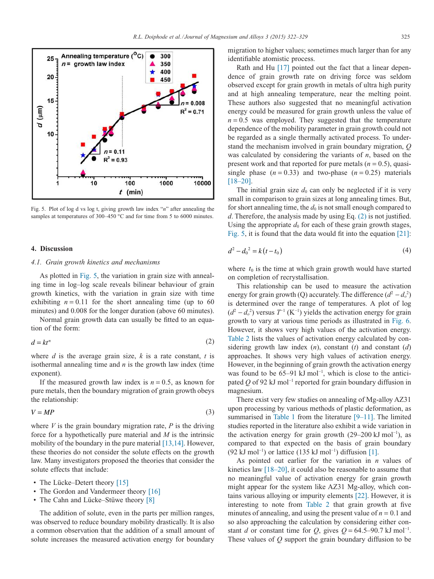

Fig. 5. Plot of log d vs log t, giving growth law index "*n*" after annealing the samples at temperatures of 300–450 °C and for time from 5 to 6000 minutes.

### **4. Discussion**

## *4.1. Grain growth kinetics and mechanisms*

As plotted in Fig. 5, the variation in grain size with annealing time in log–log scale reveals bilinear behaviour of grain growth kinetics, with the variation in grain size with time exhibiting  $n = 0.11$  for the short annealing time (up to 60) minutes) and 0.008 for the longer duration (above 60 minutes).

Normal grain growth data can usually be fitted to an equation of the form:

$$
d = kt^n \tag{2}
$$

where *d* is the average grain size, *k* is a rate constant, *t* is isothermal annealing time and *n* is the growth law index (time exponent).

If the measured growth law index is  $n = 0.5$ , as known for pure metals, then the boundary migration of grain growth obeys the relationship:

$$
V = MP
$$
 (3)

where  $V$  is the grain boundary migration rate,  $P$  is the driving force for a hypothetically pure material and *M* is the intrinsic mobility of the boundary in the pure material [13,14]. However, these theories do not consider the solute effects on the growth law. Many investigators proposed the theories that consider the solute effects that include:

- The Lücke–Detert theory [15]
- The Gordon and Vandermeer theory [16]
- The Cahn and Lücke–Stüwe theory [8]

The addition of solute, even in the parts per million ranges, was observed to reduce boundary mobility drastically. It is also a common observation that the addition of a small amount of solute increases the measured activation energy for boundary

migration to higher values; sometimes much larger than for any identifiable atomistic process.

Rath and Hu [17] pointed out the fact that a linear dependence of grain growth rate on driving force was seldom observed except for grain growth in metals of ultra high purity and at high annealing temperature, near the melting point. These authors also suggested that no meaningful activation energy could be measured for grain growth unless the value of  $n = 0.5$  was employed. They suggested that the temperature dependence of the mobility parameter in grain growth could not be regarded as a single thermally activated process. To understand the mechanism involved in grain boundary migration, *Q* was calculated by considering the variants of *n*, based on the present work and that reported for pure metals  $(n = 0.5)$ , quasisingle phase  $(n = 0.33)$  and two-phase  $(n = 0.25)$  materials [18–20].

The initial grain size  $d_0$  can only be neglected if it is very small in comparison to grain sizes at long annealing times. But, for short annealing time, the  $d_0$  is not small enough compared to *d*. Therefore, the analysis made by using Eq. (2) is not justified. Using the appropriate  $d_0$  for each of these grain growth stages, Fig. 5, it is found that the data would fit into the equation [21]:

$$
d^2 - d_0^2 = k(t - t_0)
$$
 (4)

where  $t_0$  is the time at which grain growth would have started on completion of recrystallisation.

This relationship can be used to measure the activation energy for grain growth (Q) accurately. The difference  $(d^2 - d_o^2)$ is determined over the range of temperatures. A plot of log  $(d^2 - d_o^2)$  versus  $T^{-1}$  (K<sup>-1</sup>) yields the activation energy for grain growth to vary at various time periods as illustrated in Fig. 6. However, it shows very high values of the activation energy. Table 2 lists the values of activation energy calculated by considering growth law index (*n*), constant (*t*) and constant (*d*) approaches. It shows very high values of activation energy. However, in the beginning of grain growth the activation energy was found to be 65–91 kJ mol<sup>-1</sup>, which is close to the anticipated *Q* of 92 kJ mol<sup>-1</sup> reported for grain boundary diffusion in magnesium.

There exist very few studies on annealing of Mg-alloy AZ31 upon processing by various methods of plastic deformation, as summarised in Table 1 from the literature [9–11]. The limited studies reported in the literature also exhibit a wide variation in the activation energy for grain growth (29–200 kJ mol<sup>-1</sup>), as compared to that expected on the basis of grain boundary (92 kJ mol<sup>-1</sup>) or lattice (135 kJ mol<sup>-1</sup>) diffusion [1].

As pointed out earlier for the variation in *n* values of kinetics law [18–20], it could also be reasonable to assume that no meaningful value of activation energy for grain growth might appear for the system like AZ31 Mg-alloy, which contains various alloying or impurity elements [22]. However, it is interesting to note from Table 2 that grain growth at five minutes of annealing, and using the present value of  $n = 0.1$  and so also approaching the calculation by considering either constant *d* or constant time for *Q*, gives  $Q = 64.5-90.7 \text{ kJ} \text{ mol}^{-1}$ . These values of *Q* support the grain boundary diffusion to be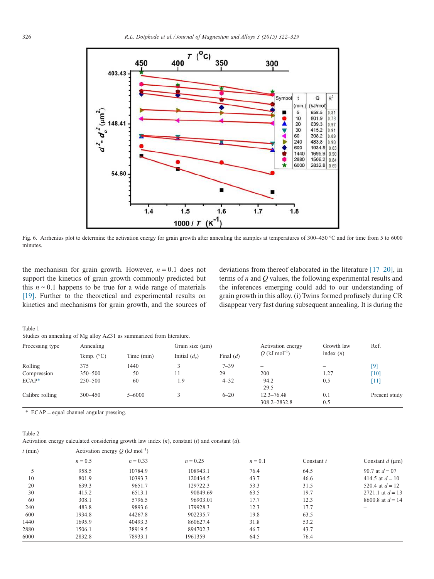

Fig. 6. Arrhenius plot to determine the activation energy for grain growth after annealing the samples at temperatures of 300–450 °C and for time from 5 to 6000 minutes.

the mechanism for grain growth. However,  $n = 0.1$  does not support the kinetics of grain growth commonly predicted but this  $n \sim 0.1$  happens to be true for a wide range of materials [19]. Further to the theoretical and experimental results on kinetics and mechanisms for grain growth, and the sources of deviations from thereof elaborated in the literature [17–20], in terms of *n* and *Q* values, the following experimental results and the inferences emerging could add to our understanding of grain growth in this alloy. (i) Twins formed profusely during CR disappear very fast during subsequent annealing. It is during the

Table 1 Studies on annealing of Mg alloy AZ31 as summarized from literature.

| Processing type | Annealing           |            | Grain size (um) |             | Activation energy              | Growth law               | Ref.               |
|-----------------|---------------------|------------|-----------------|-------------|--------------------------------|--------------------------|--------------------|
|                 | Temp. $(^{\circ}C)$ | Time (min) | Initial $(d_0)$ | Final $(d)$ | Q (kJ mol <sup>-1</sup> )      | index $(n)$              |                    |
| Rolling         | 375                 | 1440       |                 | $7 - 39$    | -                              | $\overline{\phantom{a}}$ | [9]                |
| Compression     | $350 - 500$         | 50         | 11              | 29          | 200                            | 1.27                     | $\lceil 10 \rceil$ |
| $ECAP*$         | $250 - 500$         | 60         | 1.9             | $4 - 32$    | 94.2<br>29.5                   | 0.5                      | [11]               |
| Calibre rolling | $300 - 450$         | $5 - 6000$ |                 | $6 - 20$    | $12.3 - 76.48$<br>308.2-2832.8 | 0.1<br>0.5               | Present study      |

\* ECAP = equal channel angular pressing.

## Table 2

Activation energy calculated considering growth law index (*n*), constant (*t*) and constant (*d*).

| $t$ (min) | Activation energy $Q$ (kJ mol <sup>-1</sup> ) |            |            |           |              |                         |
|-----------|-----------------------------------------------|------------|------------|-----------|--------------|-------------------------|
|           | $n = 0.5$                                     | $n = 0.33$ | $n = 0.25$ | $n = 0.1$ | Constant $t$ | Constant $d$ ( $\mu$ m) |
|           | 958.5                                         | 10784.9    | 108943.1   | 76.4      | 64.5         | 90.7 at $d = 07$        |
| 10        | 801.9                                         | 10393.3    | 120434.5   | 43.7      | 46.6         | 414.5 at $d = 10$       |
| 20        | 639.3                                         | 9651.7     | 129722.3   | 53.3      | 31.5         | 520.4 at $d = 12$       |
| 30        | 415.2                                         | 6513.1     | 90849.69   | 63.5      | 19.7         | 2721.1 at $d = 13$      |
| 60        | 308.1                                         | 5796.5     | 96903.01   | 17.7      | 12.3         | 8600.8 at $d = 14$      |
| 240       | 483.8                                         | 9893.6     | 179928.3   | 12.3      | 17.7         | -                       |
| 600       | 1934.8                                        | 44267.8    | 902235.7   | 19.8      | 63.5         |                         |
| 1440      | 1695.9                                        | 40493.3    | 860627.4   | 31.8      | 53.2         |                         |
| 2880      | 1506.1                                        | 38919.5    | 894702.3   | 46.7      | 43.7         |                         |
| 6000      | 2832.8                                        | 78933.1    | 1961359    | 64.5      | 76.4         |                         |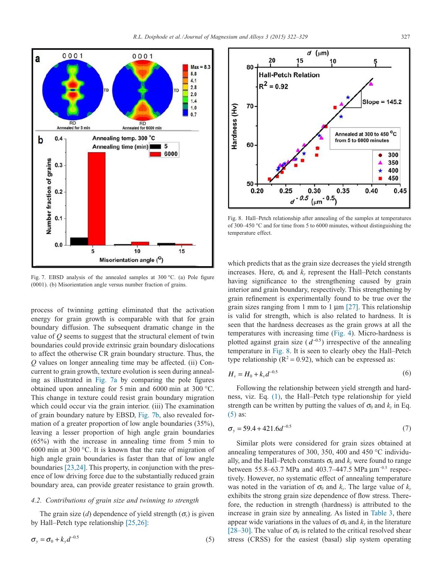

Fig. 7. EBSD analysis of the annealed samples at 300 °C. (a) Pole figure (0001). (b) Misorientation angle versus number fraction of grains.

process of twinning getting eliminated that the activation energy for grain growth is comparable with that for grain boundary diffusion. The subsequent dramatic change in the value of *Q* seems to suggest that the structural element of twin boundaries could provide extrinsic grain boundary dislocations to affect the otherwise CR grain boundary structure. Thus, the *Q* values on longer annealing time may be affected. (ii) Concurrent to grain growth, texture evolution is seen during annealing as illustrated in Fig. 7a by comparing the pole figures obtained upon annealing for 5 min and 6000 min at 300 °C. This change in texture could resist grain boundary migration which could occur via the grain interior. (iii) The examination of grain boundary nature by EBSD, Fig. 7b, also revealed formation of a greater proportion of low angle boundaries (35%), leaving a lesser proportion of high angle grain boundaries (65%) with the increase in annealing time from 5 min to 6000 min at 300 °C. It is known that the rate of migration of high angle grain boundaries is faster than that of low angle boundaries [23,24]. This property, in conjunction with the presence of low driving force due to the substantially reduced grain boundary area, can provide greater resistance to grain growth.

## *4.2. Contributions of grain size and twinning to strength*

The grain size (*d*) dependence of yield strength ( $\sigma$ <sup>*y*</sup>) is given by Hall–Petch type relationship [25,26]:

$$
\sigma_y = \sigma_0 + k_y d^{-0.5} \tag{5}
$$



Fig. 8. Hall–Petch relationship after annealing of the samples at temperatures of 300–450 °C and for time from 5 to 6000 minutes, without distinguishing the temperature effect.

which predicts that as the grain size decreases the yield strength increases. Here,  $\sigma_0$  and  $k_y$  represent the Hall–Petch constants having significance to the strengthening caused by grain interior and grain boundary, respectively. This strengthening by grain refinement is experimentally found to be true over the grain sizes ranging from 1 mm to 1  $\mu$ m [27]. This relationship is valid for strength, which is also related to hardness. It is seen that the hardness decreases as the grain grows at all the temperatures with increasing time (Fig. 4). Micro-hardness is plotted against grain size  $(d^{-0.5})$  irrespective of the annealing temperature in Fig. 8. It is seen to clearly obey the Hall–Petch type relationship ( $R^2 = 0.92$ ), which can be expressed as:

$$
H_{\nu} = H_0 + k_{\nu} d^{-0.5}
$$
 (6)

Following the relationship between yield strength and hardness, viz. Eq. (1), the Hall–Petch type relationship for yield strength can be written by putting the values of  $\sigma_0$  and  $k_y$  in Eq. (5) as:

$$
\sigma_y = 59.4 + 421.6d^{-0.5} \tag{7}
$$

Similar plots were considered for grain sizes obtained at annealing temperatures of 300, 350, 400 and 450 °C individually, and the Hall–Petch constants  $\sigma_0$  and  $k_v$  were found to range between 55.8–63.7 MPa and 403.7–447.5 MPa  $\mu$ m<sup>-0.5</sup> respectively. However, no systematic effect of annealing temperature was noted in the variation of  $\sigma_0$  and  $k_v$ . The large value of  $k_v$ exhibits the strong grain size dependence of flow stress. Therefore, the reduction in strength (hardness) is attributed to the increase in grain size by annealing. As listed in Table 3, there appear wide variations in the values of  $\sigma_0$  and  $k_\nu$  in the literature [28–30]. The value of  $\sigma_0$  is related to the critical resolved shear stress (CRSS) for the easiest (basal) slip system operating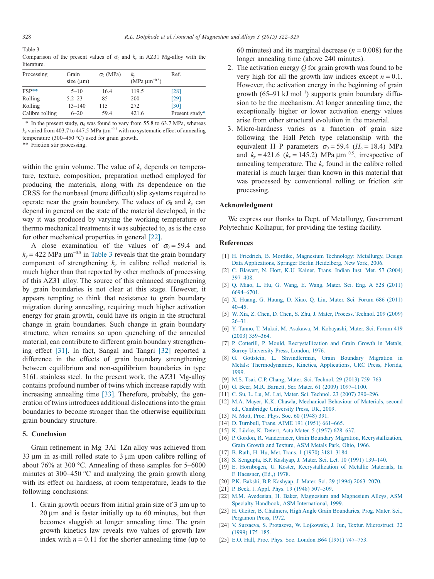Table 3

Comparison of the present values of  $\sigma_0$  and  $k_y$  in AZ31 Mg-alloy with the literature.

| Processing      | Grain<br>size $(\mu m)$ | $\sigma_0$ (MPa) | $k_{v}$<br>(MPa $\mu$ m <sup>-0.5</sup> ) | Ref.           |
|-----------------|-------------------------|------------------|-------------------------------------------|----------------|
| $FSP**$         | $5 - 10$                | 16.4             | 119.5                                     | [28]           |
| Rolling         | $5.2 - 23$              | 85               | 200                                       | [29]           |
| Rolling         | $13 - 140$              | 115              | 272                                       | [30]           |
| Calibre rolling | $6 - 20$                | 59.4             | 421.6                                     | Present study* |

\* In the present study,  $\sigma_0$  was found to vary from 55.8 to 63.7 MPa, whereas  $k$ <sup>*y*</sup> varied from 403.7 to 447.5 MPa  $\mu$ m<sup>-0.5</sup> with no systematic effect of annealing temperature (300–450 °C) used for grain growth.

\*\* Friction stir processing.

within the grain volume. The value of  $k_y$  depends on temperature, texture, composition, preparation method employed for producing the materials, along with its dependence on the CRSS for the nonbasal (more difficult) slip systems required to operate near the grain boundary. The values of  $\sigma_0$  and  $k_y$  can depend in general on the state of the material developed, in the way it was produced by varying the working temperature or thermo mechanical treatments it was subjected to, as is the case for other mechanical properties in general [22].

A close examination of the values of  $\sigma_0 = 59.4$  and  $k_y$  = 422 MPa  $\mu$ m<sup>-0.5</sup> in Table 3 reveals that the grain boundary component of strengthening  $k<sub>y</sub>$  in calibre rolled material is much higher than that reported by other methods of processing of this AZ31 alloy. The source of this enhanced strengthening by grain boundaries is not clear at this stage. However, it appears tempting to think that resistance to grain boundary migration during annealing, requiring much higher activation energy for grain growth, could have its origin in the structural change in grain boundaries. Such change in grain boundary structure, when remains so upon quenching of the annealed material, can contribute to different grain boundary strengthening effect [31]. In fact, Sangal and Tangri [32] reported a difference in the effects of grain boundary strengthening between equilibrium and non-equilibrium boundaries in type 316L stainless steel. In the present work, the AZ31 Mg-alloy contains profound number of twins which increase rapidly with increasing annealing time [33]. Therefore, probably, the generation of twins introduces additional dislocations into the grain boundaries to become stronger than the otherwise equilibrium grain boundary structure.

## **5. Conclusion**

Grain refinement in Mg–3Al–1Zn alloy was achieved from 33 μm in as-mill rolled state to 3 μm upon calibre rolling of about 76% at 300 °C. Annealing of these samples for 5–6000 minutes at 300–450 °C and analyzing the grain growth along with its effect on hardness, at room temperature, leads to the following conclusions:

1. Grain growth occurs from initial grain size of 3 μm up to 20 μm and is faster initially up to 60 minutes, but then becomes sluggish at longer annealing time. The grain growth kinetics law reveals two values of growth law index with  $n = 0.11$  for the shorter annealing time (up to

60 minutes) and its marginal decrease  $(n = 0.008)$  for the longer annealing time (above 240 minutes).

- 2. The activation energy *Q* for grain growth was found to be very high for all the growth law indices except  $n = 0.1$ . However, the activation energy in the beginning of grain growth (65–91 kJ mol<sup>-1</sup>) supports grain boundary diffusion to be the mechanism. At longer annealing time, the exceptionally higher or lower activation energy values arise from other structural evolution in the material.
- 3. Micro-hardness varies as a function of grain size following the Hall–Petch type relationship with the equivalent H–P parameters  $\sigma_0 = 59.4$  ( $H_o = 18.4$ ) MPa and  $k_y = 421.6$  ( $k_y = 145.2$ ) MPa  $\mu$ m<sup>-0.5</sup>, irrespective of annealing temperature. The  $k<sub>v</sub>$  found in the calibre rolled material is much larger than known in this material that was processed by conventional rolling or friction stir processing.

## **Acknowledgment**

We express our thanks to Dept. of Metallurgy, Government Polytechnic Kolhapur, for providing the testing facility.

#### **References**

- [1] H. Friedrich, B. Mordike, Magnesium Technology: Metallurgy, Design Data Applications, Springer Berlin Heidelberg, New York, 2006.
- [2] C. Blawert, N. Hort, K.U. Kainer, Trans. Indian Inst. Met. 57 (2004) 397–408.
- [3] Q. Miao, L. Hu, G. Wang, E. Wang, Mater. Sci. Eng. A 528 (2011) 6694–6701.
- [4] X. Huang, G. Haung, D. Xiao, Q. Liu, Mater. Sci. Forum 686 (2011) 40–45.
- [5] W. Xia, Z. Chen, D. Chen, S. Zhu, J. Mater, Process. Technol. 209 (2009) 26–31.
- [6] Y. Tanno, T. Mukai, M. Asakawa, M. Kobayashi, Mater. Sci. Forum 419 (2003) 359–364.
- [7] P. Cotterill, P. Mould, Recrystallization and Grain Growth in Metals, Surrey University Press, London, 1976.
- [8] G. Gottstein, L. Shvindlerman, Grain Boundary Migration in Metals: Thermodynamics, Kinetics, Applications, CRC Press, Florida, 1999.
- [9] M.S. Tsai, C.P. Chang, Mater. Sci. Technol. 29 (2013) 759–763.
- [10] G. Beer, M.R. Barnett, Scr. Mater. 61 (2009) 1097-1100.
- [11] C. Su, L. Lu, M. Lai, Mater. Sci. Technol. 23 (2007) 290–296.
- [12] M.A. Mayer, K.K. Chawla, Mechanical Behaviour of Materials, second ed., Cambridge University Press, UK, 2009.
- [13] N. Mott, Proc. Phys. Soc. 60 (1948) 391.
- [14] D. Turnbull, Trans. AIME 191 (1951) 661–665.
- [15] K. Lücke, K. Detert, Acta Mater. 5 (1957) 628–637.
- [16] P. Gordon, R. Vandermeer, Grain Boundary Migration, Recrystallization, Grain Growth and Texture, ASM Metals Park, Ohio, 1966.
- [17] B. Rath, H. Hu, Met. Trans. 1 (1970) 3181–3184.
- [18] S. Sengupta, B.P. Kashyap, J. Mater. Sci. Let. 10 (1991) 139–140.
- [19] E. Hornbogen, U. Koster, Recrystallization of Metallic Materials, In F. Haessner, (Ed.,) 1978.
- [20] P.K. Bakshi, B.P. Kashyap, J. Mater. Sci. 29 (1994) 2063–2070.
- [21] P. Beck, J. Appl. Phys. 19 (1948) 507-509.
- [22] M.M. Avedesian, H. Baker, Magnesium and Magnesium Alloys, ASM Specialty Handbook, ASM International, 1999.
- [23] H. Gleiter, B. Chalmers, High Angle Grain Boundaries, Prog. Mater. Sci., Pergamon Press, 1972.
- [24] V. Sursaeva, S. Protasova, W. Lojkowski, J. Jun, Textur. Microstruct. 32 (1999) 175–185.
- [25] E.O. Hall, Proc. Phys. Soc. London B64 (1951) 747–753.